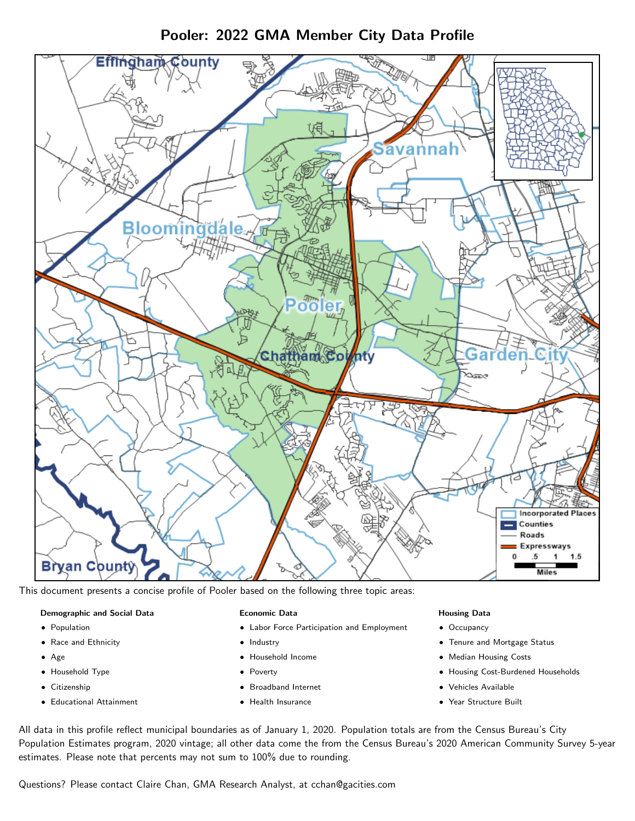

Pooler: 2022 GMA Member City Data Profile

This document presents a concise profile of Pooler based on the following three topic areas:

#### Demographic and Social Data

- **•** Population
- Race and Ethnicity
- Age
- Household Type
- **Citizenship**
- Educational Attainment

#### Economic Data

- Labor Force Participation and Employment
- Industry
- Household Income
- Poverty
- Broadband Internet
- Health Insurance

#### Housing Data

- Occupancy
- Tenure and Mortgage Status
- Median Housing Costs
- Housing Cost-Burdened Households
- Vehicles Available
- Year Structure Built

All data in this profile reflect municipal boundaries as of January 1, 2020. Population totals are from the Census Bureau's City Population Estimates program, 2020 vintage; all other data come the from the Census Bureau's 2020 American Community Survey 5-year estimates. Please note that percents may not sum to 100% due to rounding.

Questions? Please contact Claire Chan, GMA Research Analyst, at [cchan@gacities.com.](mailto:cchan@gacities.com)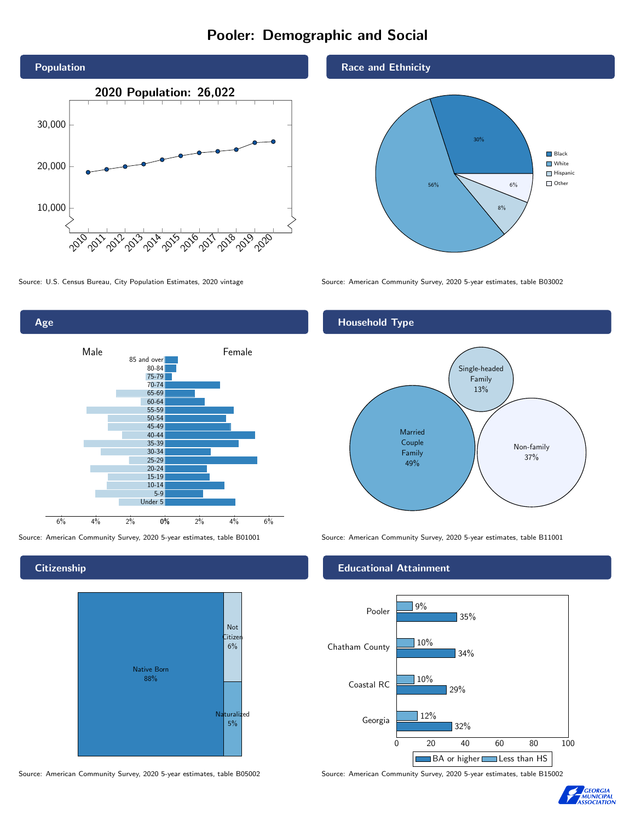# Pooler: Demographic and Social





Source: American Community Survey, 2020 5-year estimates, table B01001 Source: American Community Survey, 2020 5-year estimates, table B11001

**Citizenship** 



Source: American Community Survey, 2020 5-year estimates, table B05002 Source: American Community Survey, 2020 5-year estimates, table B15002

Race and Ethnicity



Source: U.S. Census Bureau, City Population Estimates, 2020 vintage Source: American Community Survey, 2020 5-year estimates, table B03002

## Household Type



#### Educational Attainment



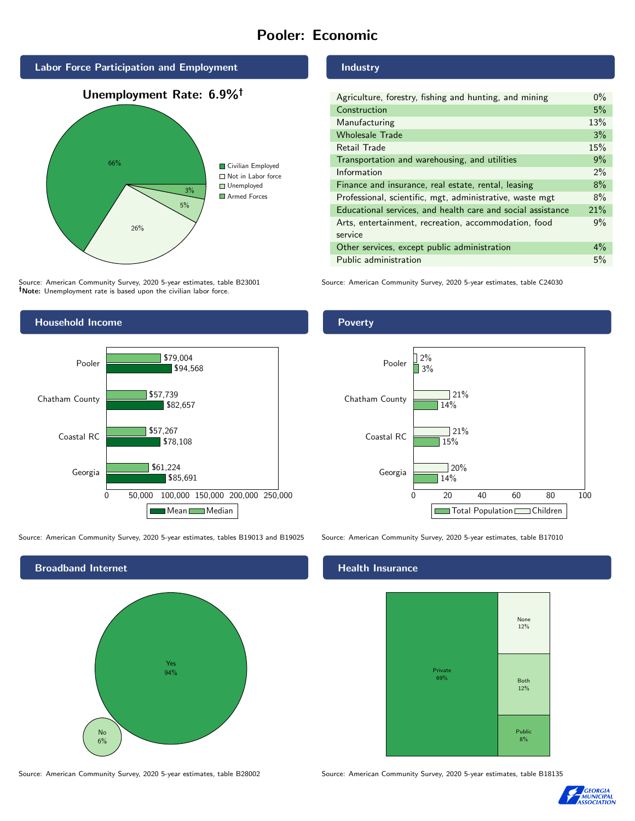# Pooler: Economic



Source: American Community Survey, 2020 5-year estimates, table B23001 Note: Unemployment rate is based upon the civilian labor force.



| Agriculture, forestry, fishing and hunting, and mining      | $0\%$ |
|-------------------------------------------------------------|-------|
| Construction                                                | 5%    |
| Manufacturing                                               | 13%   |
| <b>Wholesale Trade</b>                                      | 3%    |
| Retail Trade                                                | 15%   |
| Transportation and warehousing, and utilities               | 9%    |
| Information                                                 | $2\%$ |
| Finance and insurance, real estate, rental, leasing         | 8%    |
| Professional, scientific, mgt, administrative, waste mgt    | 8%    |
| Educational services, and health care and social assistance | 21%   |
| Arts, entertainment, recreation, accommodation, food        | 9%    |
| service                                                     |       |
| Other services, except public administration                | $4\%$ |
| Public administration                                       | 5%    |

Source: American Community Survey, 2020 5-year estimates, table C24030



Source: American Community Survey, 2020 5-year estimates, tables B19013 and B19025 Source: American Community Survey, 2020 5-year estimates, table B17010



#### Poverty



### **Health Insurance**



Source: American Community Survey, 2020 5-year estimates, table B28002 Source: American Community Survey, 2020 5-year estimates, table B18135